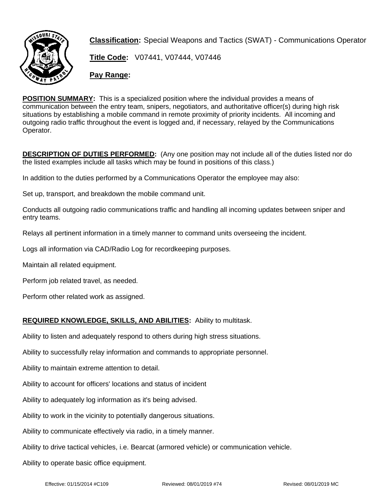

**Classification:** Special Weapons and Tactics (SWAT) - Communications Operator

**Title Code:** V07441, V07444, V07446

**Pay Range:**

**POSITION SUMMARY:** This is a specialized position where the individual provides a means of communication between the entry team, snipers, negotiators, and authoritative officer(s) during high risk situations by establishing a mobile command in remote proximity of priority incidents. All incoming and outgoing radio traffic throughout the event is logged and, if necessary, relayed by the Communications Operator.

**DESCRIPTION OF DUTIES PERFORMED:** (Any one position may not include all of the duties listed nor do the listed examples include all tasks which may be found in positions of this class.)

In addition to the duties performed by a Communications Operator the employee may also:

Set up, transport, and breakdown the mobile command unit.

Conducts all outgoing radio communications traffic and handling all incoming updates between sniper and entry teams.

Relays all pertinent information in a timely manner to command units overseeing the incident.

Logs all information via CAD/Radio Log for recordkeeping purposes.

Maintain all related equipment.

Perform job related travel, as needed.

Perform other related work as assigned.

## **REQUIRED KNOWLEDGE, SKILLS, AND ABILITIES:** Ability to multitask.

Ability to listen and adequately respond to others during high stress situations.

Ability to successfully relay information and commands to appropriate personnel.

Ability to maintain extreme attention to detail.

Ability to account for officers' locations and status of incident

Ability to adequately log information as it's being advised.

Ability to work in the vicinity to potentially dangerous situations.

Ability to communicate effectively via radio, in a timely manner.

Ability to drive tactical vehicles, i.e. Bearcat (armored vehicle) or communication vehicle.

Ability to operate basic office equipment.